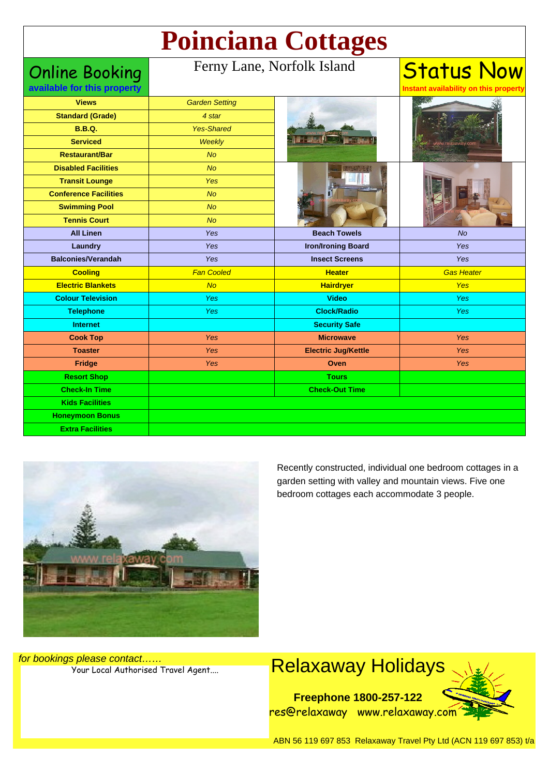# **Poinciana Cottages**

### Online Booking

**available for this property**

#### Ferny Lane, Norfolk Island

| <b>Views</b>                 | <b>Garden Setting</b> |                            |                   |
|------------------------------|-----------------------|----------------------------|-------------------|
| <b>Standard (Grade)</b>      | 4 star                |                            |                   |
| <b>B.B.Q.</b>                | <b>Yes-Shared</b>     |                            |                   |
| <b>Serviced</b>              | Weekly                |                            |                   |
| <b>Restaurant/Bar</b>        | <b>No</b>             |                            |                   |
| <b>Disabled Facilities</b>   | No                    |                            |                   |
| <b>Transit Lounge</b>        | Yes                   |                            |                   |
| <b>Conference Facilities</b> | <b>No</b>             |                            |                   |
| <b>Swimming Pool</b>         | <b>No</b>             |                            |                   |
| <b>Tennis Court</b>          | <b>No</b>             |                            |                   |
| <b>All Linen</b>             | <b>Yes</b>            | <b>Beach Towels</b>        | <b>No</b>         |
| Laundry                      | <b>Yes</b>            | <b>Iron/Ironing Board</b>  | Yes               |
| <b>Balconies/Verandah</b>    | Yes                   | <b>Insect Screens</b>      | Yes               |
| <b>Cooling</b>               | <b>Fan Cooled</b>     | <b>Heater</b>              | <b>Gas Heater</b> |
| <b>Electric Blankets</b>     | No                    | <b>Hairdryer</b>           | <b>Yes</b>        |
| <b>Colour Television</b>     | Yes                   | <b>Video</b>               | <b>Yes</b>        |
| <b>Telephone</b>             | <b>Yes</b>            | <b>Clock/Radio</b>         | <b>Yes</b>        |
| <b>Internet</b>              |                       | <b>Security Safe</b>       |                   |
| <b>Cook Top</b>              | <b>Yes</b>            | <b>Microwave</b>           | Yes               |
| <b>Toaster</b>               | Yes                   | <b>Electric Jug/Kettle</b> | Yes               |
| <b>Fridge</b>                | <b>Yes</b>            | Oven                       | <b>Yes</b>        |
| <b>Resort Shop</b>           |                       | <b>Tours</b>               |                   |
| <b>Check-In Time</b>         |                       | <b>Check-Out Time</b>      |                   |
| <b>Kids Facilities</b>       |                       |                            |                   |
| <b>Honeymoon Bonus</b>       |                       |                            |                   |
| <b>Extra Facilities</b>      |                       |                            |                   |
|                              |                       |                            |                   |



Recently constructed, individual one bedroom cottages in a garden setting with valley and mountain views. Five one bedroom cottages each accommodate 3 people.

Status Now **Instant availability on this property**

for bookings please contact……